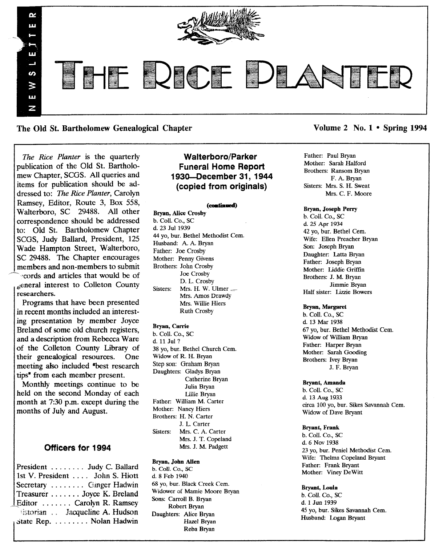

The Old St. Bartholomew Genealogical Chapter Volume 2 No. 1 • Spring 1994

*The Rice Planter* is the quarterly publication of the Old St. Bartholomew Chapter, SCGS. All queries and items for publication should be addressed to: *The Rice Planter,* Carolyn Ramsey, Editor, Route 3, Box 558, Walterboro, SC 29488. All other correspondence should be addressed to: Old St. Bartholomew Chapter SCGS, Judy Ballard, President, 125 Wade Hampton Street, Walterboro, SC 29488. The Chapter encourages members and non-members to submit

-~ '~cords and articles that would be of 6eneral interest to Colleton County researchers.

Programs that have been presented in recent months included an interesting presentation by member Joyce Breland of some old church registers, and a description from Rebecca Ware of the Colleton County Library of<br>their genealogical resources. One their genealogical resources. meeting also included "best research" tips<sup>"</sup> from each member present.

Monthly meetings continue to be held on the second Monday of each month at 7:30 p.m. except during the months of July and August.

## Officers for 1994

|  | President  Judy C. Ballard<br>1st V. President John S. Hiott<br>Secretary  Ginger Hadwin<br>Treasurer  Joyce K. Breland<br>Editor  Carolyn R. Ramsey<br>Vistorian . Jacqueline A. Hudson<br>Bistate Rep. Nolan Hadwin |
|--|-----------------------------------------------------------------------------------------------------------------------------------------------------------------------------------------------------------------------|

# Walterboro/Parker Funeral Home Report 1930-0ecember 31, 1944 (copied from originals)

#### (continued)

Bryan, Alice Crosby b. Coil. Co., SC d. 23 Jul 1939 44 yo, bur. Bethel Methodist Cem. Husband: A. A. Bryan Father: Joe Crosby Mother: Penny Givens Brothers: John Crosby Joe Crosby D. L. Crosby Sisters: Mrs. H. W. Ulmer .... Mrs. Amos Drawdy Mrs. Willie Hiers Ruth Crosby

## Bryan, Carrie

b. Coli. Co., SC d. 11 Jul? 38 yo, bur. Bethel Church Cem. Widow of R. H. Bryan Step son: Graham Bryan Daughters: Gladys Bryan Catherine Bryan Julia Bryan Lillie Brvan Father: William M. Carter Mother: Nancy Hiers Brothers: H. N. Carter J. L. Carter Sisters: Mrs. C. A. Carter Mrs. J. T. Copeland Mrs. J. M. Padgett

#### Bryan, John Allen

b. Coil. Co., SC d. 8 Feb 1940 68 yo, bur. Black Creek Cem. Widower of Mamie Moore Bryan Sons: Carroll B. Bryan Robert Bryan Daughters: Alice Bryan Hazel Bryan Reba Bryan

Father: Paul Bryan Mother: Sarah Halford Brothers: Ransom Bryan F. A. Bryan Sisters: Mrs. S. H. Sweat Mrs. C. F. Moore

#### Bryan, Joseph Perry

b. Call. Co., SC d. 25 Apr 1934 42 yo, bur. Bethel Cem. Wife: Ellen Preacher Bryan Son: Joseph Bryan Daughter: Latta Bryan Father: Joseph Bryan Mother: liddie Griffin Brothers: J. M. Bryan Jimmie Bryan Half sister: Iizzie Bowers

#### Bryan, Margaret

b. Call. Co., SC d. 13 Mar 1938 67 yo, bur. Bethel Methodist Cern. Widow of William Bryan Father: Harper Bryan Mother: Sarah Gooding Brothers: Ivey Bryan J. F. Bryan

#### Bryant, Amanda

b. Coll. Co., SC d. 13 Aug 1933 circa 100 yo, bur. Sikes Savannah Cern. Widow of Dave Bryant

#### Bryant, Frank

b. Call. Co., SC d.6 Nov 1938 23 yo, bur. Peniel Methodist Cem. Wife: Thelma Copeland Bryant Father: Frank Bryant Mother: Viney DeWitt

#### Bryant, Loula

b. Call. Co., SC d. 1 Jun 1939 45 yo, bur. Sikes Savannah Cem. Husband: Logan Bryant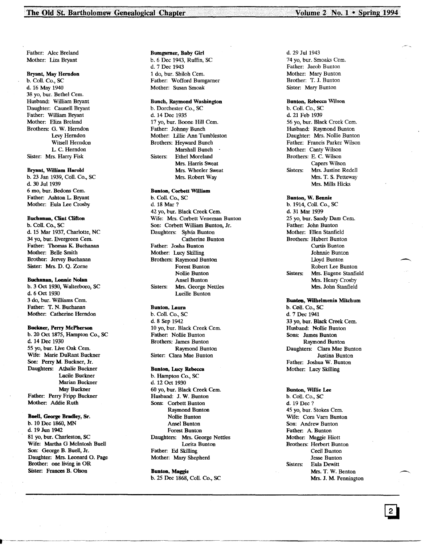Volume 2 No. 1 . Spring 1994

Father: Alee Breland Mother: Liza Bryant

#### Bryant, May Herndon

b. ColI. Co., SC d. 16 May 1940 38 yo, bur. Bethel Cern. Husband: William Bryant Daughter: Caunell Bryant Father: William Bryant Mother: Eliza Breland Brothers: G. W. Herndon Levy Herndon Witsell Herndon L C. Herndon Sister: Mrs. Harry Fisk

#### Bryant, William Harold

b. 23 Jan 1939, Coli. Co., SC d. 30 Jul 1939 6 mo, bur. Bedons Cern. Father: Ashton L Bryant Mother: Bula Lee Crosby

## Buchanan, Clint Clifton

b. Coil. Co., SC d. 15 Mar 1937, Charlotte, NC 34 yo, bur. Evergreen Cem. Father: Thomas K. Buchanan Mother: Belle Smith Brother: Jervey Buchanan Sister: Mrs. D. Q. Zorne

#### Buchanan, Lonnie Nolan

b. 3 Oct 1930, Walterboro, SC d.6 Oct 1930 3 do, bur. Williams Cern. Father: T. N. Buchanan Mother: Catherine Herndon

#### Buckner, Perry McPherson

b. 20 Oct 1875, Hampton Co., SC d. 14 Dee 1930 55 yo, bur. Live Oak Cem. Wife: Marie DuRant Buckner Son: Perry M. Buckner, Jr. Daughters: Athalie Buckner Lucile Buckner Marian Buckner May Buckner Father: Perry Fripp Buckner Mother: Addie Ruth

Buell, George Bradley, Sr. b. 10 Dec 1860, MN d. 19 Jun 1942 81 yo, bur. Charleston, SC Wife: Martha G McIntosh Buell Son: George B. Buell, Jr. Daughter: Mrs. Leonard O. Page Brother: one living in OR Sister: Frances B. Olson

#### Bumgarner, Baby Girl b. 6 Dee 1943, Ruffin, SC d. 7 Dee 1943 1 do, bur. Shiloh Cern. Father: Wofford Bumgarner Mother: Susan Smoak

## Bunch, Raymond Washington

b. Dorchester Co., SC d. 14 Dee 1935 17 yo, bur. Boone Hill Cem. Father: Johnny Bunch Mother: lillie Ann Tumbleston Brothers: Heyward Bunch Marshall Bunch . Sisters: Ethel Moreland Mrs. Harris Sweat Mrs. Wheeler Sweat Mrs. Robert Way

#### Bunton, Corbett William

b. Coil. Co., SC d. 18 Mar? 42 yo, bur. Black Creek Cem. Wife: Mrs. Corbett Veneman Bunton Son: Corbett William Bunton, Jr. Daughters: Sylvia Bunton Catherine Bunton Father: Josha Bunton Mother: Lucy Skilling Brothers: Raymond Bunton Forest Bunton Nollie Bunton Ansel Bunton Sisters: Mrs. George Nettles Lucille Bunton

## Bunton, Laura

b. Coli. Co., SC d.8 Sep 1942 10 yo, bur. Black Creek Cern. Father: Nollie Bunton Brothers: James Bunton Raymond Bunton Sister: Clara Mae Bunton

#### Bunton, Lucy Rebecca

b. Hampton Co., SC d. 12 Oct 1930 60 yo, bur. Black Creek Cern. Husband: J. W. Bunton Sons: Corbett Bunton Raymond Bunton Nollie Bunton Ansel Bunton Forest Bunton Daughters: Mrs. George Nettles Lorita Bunton Father: Ed Skilling Mother: Mary Shepherd

Bunton, Maggie b. 25 Dee 1868, Coil. Co., SC d. 29 Jul 1943 74 yo, bur. Smoaks Cem. Father: Jacob Bunton Mother: Mary Bunton Brother: T. J. Bunton Sister: Mary Bunton

Bunton, Rebecca Wilson b. ColI. Co., SC d. 21 Feb 1939 56 yo, bur. Black Creek Cern. Husband: Raymond Bunton Daughter: Mrs. Nollie Bunton Father: Francis Parker Wilson Mother: Canty Wilson Brothers: E. C. Wilson Capers Wilson Sisters: Mrs. Justine Redell Mrs. T. S. Petteway Mrs. Mills Hicks

Bunton, W. Bennie b. 1914, Coil. Co., SC d. 31 Mar 1939 25 yo, bur. Sandy Dam Cem. Father: John Bunton Mother: Ellen Stanfield Brothers: Hubert Bunton Curtis Bunton Johnnie Bunton lloyd Bunton Robert Lee Bunton Sisters: Mrs. Eugene Stanfield Mrs. Henry Crosby Mrs. John Stanfield

#### Bunton, Wilhelmenia Mitchum b. Coli. Co., SC d. 7 Dec 1941 33 yo, bur. Black Creek Cem. Husband: Nollie Bunton Sons: James Bunton Raymond Bunton Daughters: Clara Mae Bunton Justina Bunton

Father: Joshua W. Bunton Mother: Lucy Skilling

#### Bunton, Wdlie Lee

b. Coil. Co., SC d. 19 Dee? 45 yo, bur. Stokes Cern. Wife: Cora Yarn Bunton Son: Andrew Bunton Father: A Bunton Mother: Maggie Hiott Brothers: Herbert Bunton Cecil Bunton Jesse Bunton Sisters: Eula Dewitt Mrs. T. W. Benton Mrs. J. M. Pennington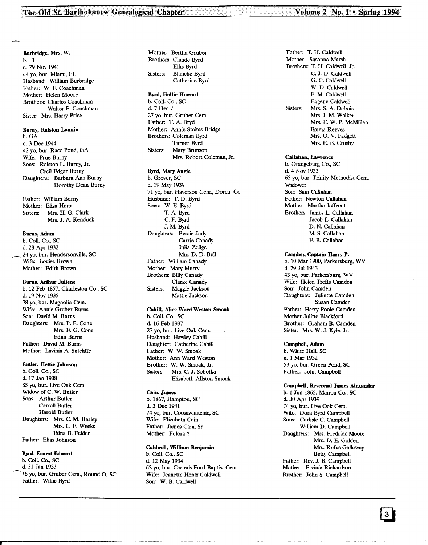Burbridge, Mrs. W. b. FL d. 29 Nov 1941 44 yo, bur. Miami, FL Husband: William Burbridge Father: W. F. Coachman Mother: Helen Moore Brothers: Charles Coachman Walter F. Coachman Sister: Mrs. Harry Price

#### Burny, Ralston Lonnie

b.GA d. 3 Dec 1944 42 yo, bur. Race Pond, GA Wife: Prue Burny Sons: Ralston L Burny, Jr. Cecil Edgar Burny Daughters: Barbara Ann Burny Dorothy Dean Burny

Father: William Burny Mother: Eliza Hurst Sisters: Mrs. H. G. Clark Mrs. J. A. Kenduck

### Bums, Adam

b. Coli. Co., SC d. 28 Apr 1932 24 yo, bur. Hendersonville, SC . Wife: Louise Brown Mother: Edith Brown

#### Bums, Arthur Juliene

b. 12 Feb 1857, Charleston Co., SC d. 19 Nov 1935 78 yo, bur. Magnolia Cern. Wife: Annie Gruber Burns Son: David M. Burns Daughters: Mrs. P. F. Cone Mrs. B. G. Cone Edna Burns Father: David M. Burns Mother: Lavinia A. Sutcliffe

## Butler, Hettie Johnson

b. Coli. Co., SC d. 17 Jan 1938 85 yo, bur. Live Oak Cem. Widow of C. W. Butler Sons: Arthur Butler Carrall Butler Harold Butler Daughters: Mrs. C. M. Harley Mrs. L E. Weeks Edna B. Felder Father: Elias Johnson

#### Byrd, Emest Edward

b. Coli. Co., SC d. 31 Jan 1933 16 yo, bur. Gruber Cem., Round O, SC Father: Willie Byrd

Mother: Bertha Gruber Brothers: Claude Byrd Ellis Byrd Sisters: Blanche Byrd Catherine Byrd

## Byrd, Hallie Howard

b. Coli. Co., SC d. 7 Dec? 27 yo, bur. Gruber Cem. Father: T. A. Bryd Mother: Annie Stokes Bridge Brothers: Coleman Byrd Turner Byrd Sisters: Mary Brunson Mrs. Robert Coleman, Jr.

## Byrd, Mary Angie

b. Grover, SC d. 19 May 1939 71 yo, bur. Haverson Cem., Dorch. Co. Husband: T. D. Byrd Sons: W. E. Byrd T. A. Byrd C. F. Byrd J. M. Byrd Daughters: Bessie Judy Carrie Canady Julia Zeilge Mrs. D. D. Bell Father: William Canady Mother: Mary Murry Brothers: Billy Canady Clarke Canady Sisters: Maggie Jackson Mattie Jackson

## Cahill, Alice Ward Weston Smoak

b. Coli. Co., SC d. 16 Feb 1937 27 yo, bur. Live Oak Cern. Husband: Hawley Cahill Daughter: Catherine Cahill Father: W. W. Smoak Mother: Ann Ward Weston Brother: W. W. Smoak, Jr. Sisters: Mrs. C. J. Sobotka Elizabeth Allston Smoak

#### Cain, James

b. 1867, Hampton, SC d. 2 Dee 1941 74 yo, bur. Coosawhatchie, SC Wife: Elizabeth Cain Father: James Cain, Sr. Mother: Fulora?

#### Caldwell, William Benjamin

b. Coli. Co., SC d. 12 May 1934 62 yo, bur. Carter's Ford Baptist Cem. Wife: Jeanette Hentz Caldwell Son: W. B. Caldwell

\_----------------------------------------------------- .\_. ~,~M \_

Father: T. H. Caldwell Mother: Susanna Marsh Brothers: T. H. Caldwell, Jr. e. J. D. Caldwell G. C. Caldwell W. D. Caldwell F. M. Caldwell Eugene Caldwell Sisters: Mrs. S. A. Dubois Mrs. J. M. Walker Mrs. E. W. P. McMillan Emma Reeves Mrs. O. V. Padgett Mrs. E. B. Crosby

## Callahan, Lawrence

b. Orangeburg Co., SC d. 4 Nov 1933 65 yo, bur. Trinity Methodist Cern. Widower Son: Sam Callahan Father: Newton Callahan Mother: Martha Jeffcoat Brothers: James L Callahan Jacob L. Callahan D. N. Callahan M. S. Callahan E. B. Callahan

## Camden, Captain Harry P.

b. 10 Mar 1900, Parkersburg, WV d. 29 Jul 1943 43 yo, bur. Parkersburg, WV Wife: Helen Trefts Camden Son: John Camden Daughters: Juliette Camden Susan Camden Father: Harry Poole Camden Mother Julitte Blackford Brother: Graham B. Camden Sister: Mrs. W. J. Kyle, Jr.

## Campbell, Adam

b. White Hall, SC d. 1 Mar 1932 53 yo, bur. Green Pond, SC Father: John Campbell

## Campbell, Reverend James Alexander

b. 1 Jun 1865, Marion Co., SC d. 30 Apr 1939 74 yo, bur. Live Oak Cem. Wife: Dora Byrd Campbell Sons: Carlisle C. Campbell William D. Campbell Daughters: Mrs. Fredrick Moore Mrs. D. E. Golden Mrs. Rufus Galloway Betty Campbell Father: Rev. J. B. Campbell Mother: Ervinia Richardson Brother: John S. Campbell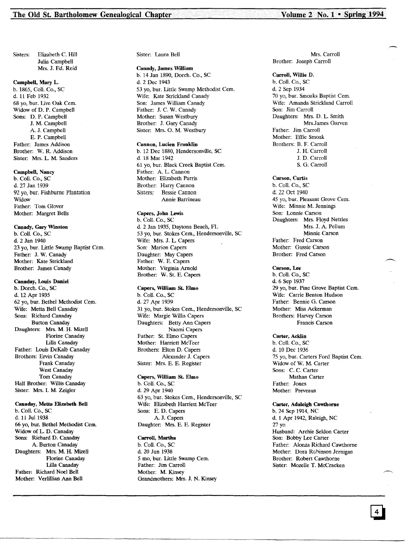Sisters: Elizabeth C. Hill Julia Campbell Mrs. J. Ed. Reid

## Campbell, Mary L.

b. 1865, ColI. Co., SC d. 11 Feb 1932 68 yo, bur. Live Oak Cem. Widow of D. P. Campbell Sons: D. P. Campbell J. M. Campbell A. J. Campbell E. P. Campbell Father: James Addison Brother: W. R. Addison Sister: Mrs. L. M. Sanders

## Campbell, Nancy

b. ColI. Co., SC d. 27 Jan 1939 92 yo, bur. Fishburne Plantation Widow Father: Tom Glover Mother: Margret Bells

Canady, Gary Winston b. Coli. Co., SC d. 2 Jan 1940 23 yo, bur. Little Swamp Baptist Cem. Father: J. W. Canady Mother: Kate Strickland Brother: James Canady

#### Canaday, Louis Daniel

b. Dorch. Co., SC d. 12 Apr 1935 62 vo, bur. Bethel Methodist Cem. Wife: Metta Bell Canaday Sons: Richard Canaday Burton Canaday Daughters: Mrs. M. H. Mizell Florine Canaday Lilla Canaday Father: Louis DeKaJb Canaday Brothers: Ervin Canaday Frank Canaday West Canaday Tom Canaday Half Brother: Willis Canaday Sister: Mrs. I. M. Zeigler

Canaday, Metts Elizabeth Bell b. Coli. Co., SC d. 11 Jul 1938 66 yo, bur. Bethel Methodist Cern. Widow of L. D. Canaday Sons: Richard D. Canaday A. Burton Canaday Daughters: Mrs. M. H. Mizell Florine Canaday Lilla Canaday Father; Richard Noel Bell Mother: Verlillian Ann Bell

Sister: Laura Bell

#### Canady, James William

b. 14 Jan 1890, Dorch. Co., SC d. 2 Dec 1943 53 yo, bur. Little Swamp Methodist Cem. Wife: Kate Strickland Canady Son: James William Canady Father: J. C. W. Canady Mother: Susan Westbury Brother: J. Gary Canady Sister: Mrs. O. M. Westbury

#### Cannon, Lucien Franklin

b. 12 Dec 1880, Hendersonville, SC d. 18 Mar 1942 61 yo, bur. Black Creek Baptist Cern. Father: A. L. Cannon Mother: Elizabeth Parris Brother: Harry Cannon Sisters: Bessie Cannon Annie Barrineau

## Capers, John Lewis

b. Coli. Co., SC d. 2 Jan 1935, Daytona Beach, FL 53 yo, bur. Stokes Cern., Hendersonville, SC Wife: Mrs. J. L. Capers Son: Marion Capers Daughter: May Capers Father: W. E. Capers Mother: Virginia Arnold Brother: W. St. E. Capers

## Capers, William *SL* Elmo

b. Coli. Co., SC d. 27 Apr 1939 31 yo, bur. Stokes Cern., Hendersonville, SC Wife: Margie Willis Capers Daughters: Betty Ann Capers Naomi Capers Father: St. Elmo Capers Mother: Harriett McTeer Brothers: Elton D. Capers Alexander J. Capers Sister: Mrs. E. E. Register

#### Capers, William *SL* Elmo b. Coli. Co., SC

d. 29 Apr 1940 63 yo, bur. Stokes Cern., Hendersonville, SC Wife: Elizabeth Harriett McTeer Sons: E. D. Capers A. J. Capers Daughter: Mrs. E. E. Register

#### Carroll, Martha

b. Coil. Co., SC d. 20 Jun 1938 5 mo, bur. Little Swamp Cem. Father: Jim Carroll Mother: M. Kinsey Grandmothers: Mrs. J. N. Kinsey

-------~-.\_-\_.\_~~-~ ..\_------~.\_-----------\_ ..\_---------------------------------

Mrs. Carroll Brother: Joseph Carroll

#### Carroll, Willie D.

b. Coli. Co., sc d. 2 Sep 1934 70 yo, bur. Smoaks Baptist Cern. Wife: Amanda Strickland Carroll Son: Jim Carroll Daughters: Mrs. D. L. Smith MrsJames Garven Father: Jim Carroll Mother: Effie Smoak Brothers: B. F. Carroll J. H. Carroll J. D. Carroll S. G. Carroll

#### Carson, Curtis

b. Coli. Co., SC d. 22 Oct 1940 45 yo, bur. Pleasant Grove Cem. Wife: Minnie M. Jennings Son: Lonnie Carson Daughters: Mrs. Floyd Nettles Mrs. J. A. Pellum Minnie Carson Father: Fred Carson Mother: Gussie Carson Brother: Fred Carson

## Carson, Lee

b. Coli. Co., SC d. 6 Sep 1937 29 yo, bur. Pine Grove Baptist Cem. Wife: Carrie Benton Hudson Father: Bennie G. Carson Mother: Miss Ackerman Brothers: Harvey Carson Francis Carson

## Carter, Acklin

b. ColI. Co., SC d. 10 Dee 1936 75 yo, bur. Carters Ford Baptist Cern. Widow of W. M. Carter Sons: C. C. Carter Mathan Carter Father: Jones Mother: Preveaux

### Carter, Adaleigh Cawthorne

b. 24 Sep 1914, NC d. 1 Apr 1942, Raleigh, NC 27 yo Husband: Archie Seldon Carter Son: Bobby Lee Carter Father: Alonza Richard Cawthorne Mother: Dora Robinson Jernigan Brother: Robert Cawthorne Sister: Mozelle T. McCracken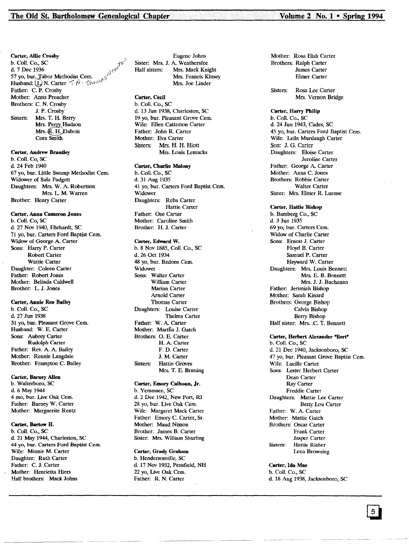## Carter, Allie Crosby<br>b. Coll. Co., SC b. Coll. Co., SC  $\uparrow$ d. 7 Dec 1936<br>57 yo, bur. Tabor Methodist Cem.  $\frac{1}{100}$ Husband:  $\bigcup_{n=1}^{\infty} N$ . Carter  $\bigcap_{n=1}^{\infty} N$  '  $\bigcap_{n=1}^{\infty} N$ Father: C. P. Crosby Mother: Anna Preacher Brothers: C. N. Crosby J. P. Crosby Sisters: Mrs. T. H. Berry Mrs. Perry Hudson Mrs. R. H. Dubois Cora Smith

#### Carter, Andrew Brandey

b. Coli. Co, SC d. 24 Feb 1940 67 yo, bur. Little Swamp Methodist Cern. Widower of Sula Padgett Daughters: Mrs. W. A. Robertson Mrs. L. M. Warren Brother: Henry Carter

## Carter, Anna Cameron Jones

b. Coll. Co. SC d. 27 Nov 1940, Ehrhardt, SC 71 yo, bur. Carters Ford Baptist Cern. Widow of George A. Carter Sons: Harry P. Carter Robert Carter Wattie Carter Daughter: Coleen Carter Father: Robert Jones Mother: Belinda Caldwell Brother: L. J. Jones

## Carter, Annie Rea Bailey

b. Coli. Co., SC d. 27 Jun 1938 31 yo, bur. Pleasant Grove Cem. Husband: W. E. Carter Sons: Aubrey Carter Rudolph Carter Father: Rev. A. A. Bailey Mother: Rennie Langdale Brother: Frampton C. Bailey

#### Carter, Barney Allen

b. Walterboro, SC d. 6 May 1944 4 mo, bur. Live Oak Cem. Father: Barney W. Carter Mother: Marguerite Rentz

#### Carter, Bartow H.

b. Coli. Co., SC d. 21 May 1944, Charleston, SC 44 yo, bur. Carters Ford Baptist Cem. Wife: Minnie M. Carter Daughter: Ruth Carter Father: C. J. Carter Mother: Henrietta Hiers Half brothers: Mack Johns

Eugene Johns Sister: Mrs. J. A. Weathersfee<br>Half sisters: Mrs. Mack Kni Mrs. Mack Knight Mrs. Francis Kinsey Mrs. Joe Linder

## Carter, Cecil

b. Coli. Co., SC d. 13 Jun 1938, Charleston, SC 19 yo, bur. Pleasant Grove Cern. Wife: Ellen Catterton Carter Father: John R. Carter Mother: Eva Carter Sisters: Mrs. H. H. Hiott Mrs. Louis Lernacks

### Carter, Charlie Malony

b. Coll. Co., SC d. 31 Aug 1935 41 yo, bur. Carters Ford Baptist Cem. Widower Daughters: Reba Carter Hattie Carter Father: Ose Carter Mother: Caroline Smith Brother: H. J. Carter

#### Carter, Edward W.

b. 8 Nov 1885, Coll. Co., SC d. 26 Oct 1934 48 yo, bur. Bedons Cem. Widower . Sons: Walter Carter William Carter Marian Carter Arnold Carter Thomas Carter Daughters: Louise Carter Thelma Carter Father: W. A. Carter Mother: Martha J. Gatch Brothers: O. E. Carter H. A. Carter F. D. Carter J. M. Carter Sisters: Hattie Groves Mrs. T. E. Brnning

## Carter, Emory Calhoun, Jr. b. Yemassee, SC d. 2 Dee 1942, New Port, RI

28 vo, bur. Live Oak Cem. Wife: Margaret Mack Carter Father. Emory C. Carter, Sr. Mother: Maud Nixson Brother; James B. Carter Sister: Mrs. William Shurling

#### Carter, Grady Graham b. Hendersonville, SC d. 17 Nov 1932, Pensfield, NH 22 yo, Live Oak Cem. Father: R. N. Carter

Mother: Rosa Elah Carter Brothers: Ralph Carter James Carter Elmer Carter

Sisters: Rosa Lee Carter Mrs. Vernon Bridge

## Carter, Harry Philip

b. Coli. Co., SC d. 24 Jun 1943, Cades, SC 45 vo, bur. Carters Ford Baptist Cem. Wife: Leila Murdaugh Carter Son: J. G. Carter Daughters: Eloise Carter Jeroline Carter Father: George A. Carter Mother: Anna C. Jones Brothers: Robbie Carter Walter Carter Sister: Mrs. Elmer R. Luense

Carter, Hattie Bishop b. Bamberg Co., SC d. 3 Jun 1935 69 yo, bur. Carters Cem. Widow of Charlie Carter Sons: Ernest J. Carter Floyd B. Carter Samuel P. Carter Heyward W. Carter Daughters: Mrs. Louis Bennett Mrs. E. B. Bennett Mrs. J. J. Buchanan Father: Jerimiah Bishop Mother: Sarah Kinard Brothers; George Bishop Calvin Bishop Berry Bishop Half sister: Mrs.. C. T. Bennett

#### Carter, Herbert Alexander "Bert"

b. Coll. Co., SC d. 21 Dec 1940, Jacksonboro, SC 47 yo, bur. Pleasant Grove Baptist Cern. Wife: Lucille Carter Sons: Lester Herbert Carter Dean Carter Ray Carter Freddie Carter Daughters: Mattie Lee Carter Betty Lou Carter Father: W. A. Carter Mother. Mattie Gatch Brothers: Oscar Carter Frank Carter Jasper Carter Sisters: Hattie Risher l.ena Browning

Carter, Ida Mae b. ColI. Co., SC d. 18 Aug 1938, Jacksonboro, SC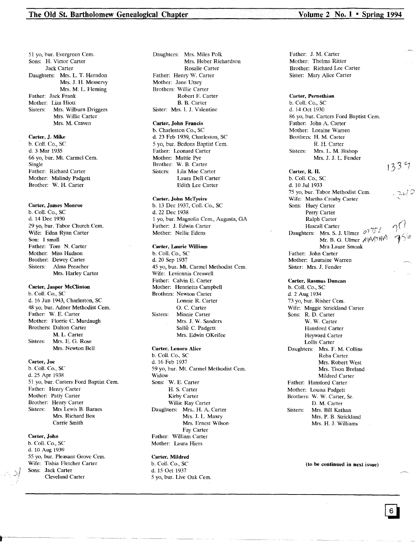51 yo, bur. Evergreen Cern. Sons: H. Victor Carter Jack Carter Daughters: Mrs. L. T. Herndon Mrs. J. H. Messervy Mrs. M. L. Fleming Father: Jack Frank Mother: Liza Hiott Sisters: Mrs. Wilburn Driggers Mrs. Willie Carter Mrs. M. Craven

## Carter, J. Mike

b. Col!. Co., SC d. 3 Mar 1935 66 yo, bur. Mt. Carmel Cern. Single Father: Richard Carter Mother: Malindy Padgett Brother: W. H. Carter

#### Carter, James Monroe

b. Call. Co., SC d. 14 Dec 1930 29 yo, bur. Tabor Church Cem. Wife: Edna Ryan Carter Son: 1 small Father: Tom N. Carter Mother: Miss Hudson Brother: Dewey Carter Sisters: Alma Preacher Mrs. Harley Carter

#### Carter, Jasper McClinton

b. Call. Co., SC d. 16 Jun 1943, Charleston, SC 48 vo, bur. Adner Methodist Cem. Father: W. E. Carter Mother: Florrie C. Murdaugh Brothers: Dalton Carter M. L. Carter Sisters: Mrs. E. G. Rose Mrs. Newton Bell

#### Carter, Joe

b. Call. Co., SC d. 25 Apr 1938 51 yo, bur. Carters Ford Baptist Cern. Father: Henry Carter Mother: Patty Carter Brother: Henry Carter Sisters: Mrs Lewis B. Barnes Mrs. Richard Box Carrie Smith

#### Carter, John

b. Call. Co., SC d. 10 Aug 1939 55 yo, bur. Pleasant Grove Cern. Wife: Tishia Fletcher Carter Sons: Jack Carter Cleveland Carter

Daughters: Mrs. Miles Polk Mrs. Heber Richardson Rosalie Carter Father: Henry W. Carter Mother: Jane Utsey Brothers: Willie Carter Robert F. Carter B. B. Carter Sister: Mrs. 1. J. Valentine

#### Carter, John Francis

b. Charleston Co., SC d. 23 Feb 1939, Charleston, SC 5 yo, bur. Bedons Baptist Cern. Father: Leonard Carter Mother: Mattie Pye Brother: W. B. Carter Sisters: Lila Mae Carter Laura Dell Carter Edith Lee Carter

## Carter, John McTyeire

b. 13 Dec 1937, Call. Co., SC d. 22 Dec 1938 1 yo, bur. Magnolia Cern., Augusta, GA Father: J. Edwin Carter Mother: Nellie Edens

#### Carter, Laurie William

b. Call. Co., SC d. 20 Sep 1937 45 yo, bur. Mt. Carmel Methodist Cem. Wife: Leviennia Creswell Father: Calvin E. Carter Mother: Henrietta Campbell Brothers: Newton Carter Lonnie R. Carter O. C. Carter Sisters: Minnie Carter Mrs. J. W. Sanders Sallie C. Padgett Mrs. Edwin OKeifee

#### Carter, Lenora Alice

b. Call. Co., SC d. 16 Feb 1937 59 yo, bur. Mt. Carmel Methodist Cem. Widow Sons: W. E. Carter H. S. Carter Kirby Carter Willie Ray Carter Daughters: Mrs.. H. A. Carter Mrs. J. L. Maxey Mrs. Ernest Wilson Fay Carter Father: William Carter Mother: Laura Hiers

## Carter, Mildred

b. Call. Co., SC d. 15 Oct 1937 5 yo, bur. Live Oak Cern.

Father: J. M. Carter Mother: Thelma Ritter Brother: Richard Lee Carter Sister: Mary Alice Carter

#### Carter, Pernethian

b. Call. Co., SC d. 14 Oct 1930 86 yo, bur. Carters Ford Baptist Cem. Father: John A. Carter Mother: Loraine Warren Brothers: H. M. Carter R. H. Carter Sisters: Mrs. L. M. Bishop Mrs. J. J. L. Fender

#### Carter, R. H.

b. Call. Co., SC d. 10 Jul 1933 75 yo, bur. Tabor Methodist Cem. Wife: Martha Crosby Carter Sons: Huey Carter Perry Carter Ralph Carter Hascall Carter Daughters: Mrs. S. J. Ulmer  $\mathcal{OTU}$ . Mr. B. G. Ulmer  $ABAN$ Mra Laure Smoak Father: John Carter Mother: Lauraine Warren Sister: Mrs. J. Fender

#### Carter, Rasmus Duncan

b. Call. Co., SC d. 2 Aug 1934 73 yo, bur. Risher Cem. Wife: Maggie Strickland Carter Sons: R. D. Carter W. W. Carter Hansford Carter Heyward Carter Lollis Carter Daughters: Mrs. F. M. Collins Reba Carter Mrs. Robert West Mrs. Tison Breland Mildred Carter Father: Hansford Carter Mother: Louisa Padgett Brothers: W. W. Carter, Sr. D. M. Carter Sisters: Mrs. Bill Kathan Mrs. P. B. Strickland Mrs. H. J. Williams

(to be continued in next issue)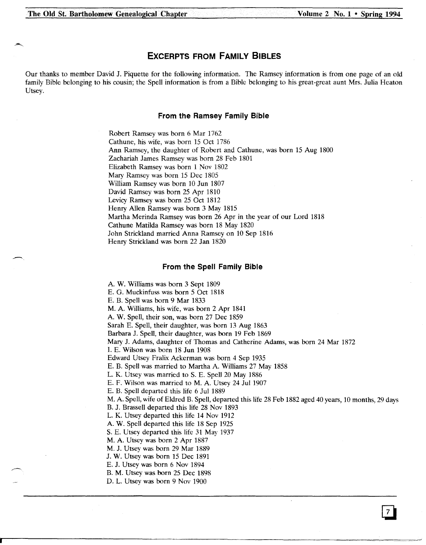.-..

# **EXCERPTS FROM FAMILY BIBLES**

Our thanks to member David J. Piquette for the following information. The Ramsey information is from one page of an old family Bible belonging to his cousin; the Spell information is from a Bible belonging to his great-great aunt Mrs. Julia Heaton Utsey.

## **From the Ramsey Family Bible**

Robert Ramsey was born 6 Mar 1762 Cathune, his wife, was born 15 Oct 1786 Ann Ramsey, the daughter of Robert and Cathune, was born 15 Aug 1800 Zachariah James Ramsey was born 28 Feb 1801 Elizabeth Ramsey was born 1 Noy 1802 Mary Ramsey was born 15 Dee 1805 William Ramsey was born 10 Jun 1807 David Ramsey was born 25 Apr 1810 Levicy Ramsey was born 25 Oct 1812 Henry Allen Ramsey was born 3 May 1815 Martha Merinda Ramsey was born 26 Apr in the year of our Lord 1818 Cathune Matilda Ramsey was born 18 May 1820 John Strickland married Anna Ramsey on 10 Sep 1816 Henry Strickland was born 22 Jan 1820

## **From the Spell Family Bible**

A. W. Williams was born 3 Sept 1809

E. G. Muckinfuss was born 5 Oct 1818

E. B. Spell was born 9 Mar 1833

M. A. Williams, his wife, was born 2 Apr 1841

A. W. Spell, their son, was born 27 Dec 1859

Sarah E. Spell, their daughter, was born 13 Aug 1863

Barbara J. Spell, their daughter, was born 19 Feb 1869

Mary J. Adams, daughter of Thomas and Catherine Adams, was born 24 Mar 1872

1. E. Wilson was born 18 Jun 1908

Edward Utsey Fralix Ackerman was born 4 Sep 1935

E. B. Spell was married to Martha A. Williams 27 May 1858

L. K. Utsey was married to S. E. Spell 20 May 1886

E. F. Wilson was married to M. A. Utsey 24 Jul 1907

E. B. Spell departed this life 6 Jul 1889

M. A. Spell, wife of Eldred B. Spell, departed this life 28 Feb 1882 aged 40 years, 10 months, 29 days

B. J. Brassell departed this life 28 Noy 1893

L. K. Utsey departed this life 14 Nov 1912

A. W. Spell departed this life 18 Sep 1925

S. E. Utsey departed this life 31 May 1937

M. A. Utsey was born 2 Apr 1887

M. J. Utsey was born 29 Mar 1889

J. W. Utsey was born 15 Dee 1891

E. J. Utsey was born 6 Nov 1894

B. M. Utsey was born 25 Dec 1898

D. L. Utsey was born 9 Noy 1900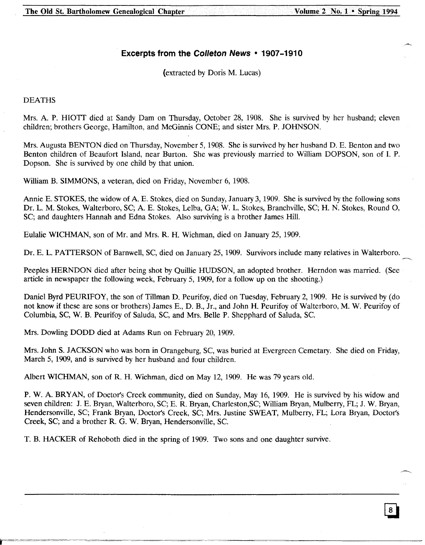# **Excerpts from the eolleton News • 1907-1910**

(extracted by Doris M. Lucas)

## DEATHS

Mrs. A. P. HIOTT died at Sandy Dam on Thursday, October 28, 1908. She is survived by her husband; eleven children; brothers George, Hamilton, and McGinnis CONE; and sister Mrs. P. JOHNSON.

Mrs. Augusta BENTON died on Thursday, November 5, 1908. She is survived by her husband D. E. Benton and two Benton children of Beaufort Island, near Burton. She was previously married to William DOPSON, son of I. P. Dopson. She is survived by one child by that union.

William B. SIMMONS, a veteran, died on Friday, November 6, 1908.

Annie E. STOKES, the widow of A. E. Stokes, died on Sunday, January 3, 1909. She is survived by the following sons Dr. L. M. Stokes, Walterboro, SC; A. E. Stokes, LeIba, GA; W. L. Stokes, Branchville, SC; H. N. Stokes, Round 0, SC; and daughters Hannah and Edna Stokes. Also surviving is a brother James Hill.

Eulalie WICHMAN, son of Mr. and Mrs. R. H. Wichman, died on January 25,1909.

Dr. E. L. PATTERSON of Barnwell, SC, died on January 25, 1909. Survivors include many relatives in Walterboro.

Peeples HERNDON died after being shot by Quillie HUDSON, an adopted brother. Herndon was married. (See article in newspaper the following week, February 5, 1909, for a follow up on the shooting.)

Daniel Byrd PEURIFOY, the son of Tillman D. Peurifoy, died on Tuesday, February 2, 1909. He is survived by (do not know if these are sons or brothers) James E., D. B., Jr., and John H. Peurifoy of Walterboro, M. W. Peurifoy of Columbia, SC, W. B. Peurifoy of Saluda, SC, and Mrs. Belle P. Shepphard of Saluda, sc.

Mrs. Dowling DODD died at Adams Run on February 20,1909.

Mrs. John S. JACKSON who was born in Orangeburg, SC, was buried at Evergreen Cemetary. She died on Friday, March 5, 1909, and is survived by her husband and four children.

Albert WICHMAN, son of R. H. Wichman, died on May 12,1909. He was 79 years old.

P. W. A. BRYAN, of Doctors Creek community, died on Sunday, May 16, 1909. He is survived by his widow and seven children: J. E. Bryan, Walterboro, SC; E. R. Bryan, Charleston,SC; William Bryan, Mulberry, FL; J. W. Bryan, Hendersonville, SC; Frank Bryan, Doctor's Creek, SC; Mrs. Justine SWEAT, Mulberry, FL; Lora Bryan, Doctor's Creek, SC; and a brother R. G. W. Bryan, Hendersonville, Sc.

T. B. HACKER of Rehoboth died in the spring of 1909. Two sons and one daughter survive.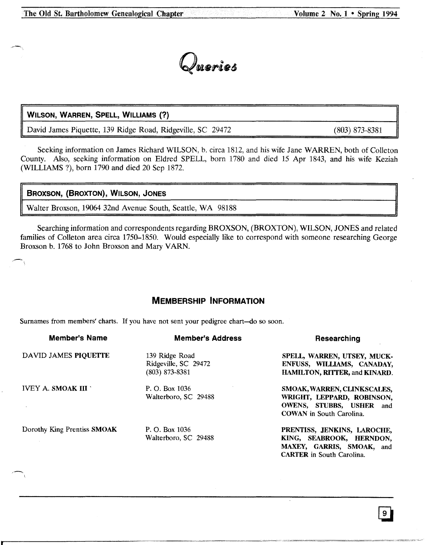

# WILSON, WARREN, SPELL, WILLIAMS (?)

David James Piquette, 139 Ridge Road, Ridgeville, SC 29472

(803) 873-8381

Seeking information on James Richard WILSON, b. circa 1812, and his wife Jane WARREN, both of Colleton County. Also, seeking information on Eldred SPELL, born 1780 and died 15 Apr 1843, and his wife Keziah (WILLIAMS ?), born 1790 and died 20 Sep 1872.

|  |  | <b>BROXSON, (BROXTON), WILSON, JONES</b> |
|--|--|------------------------------------------|
|--|--|------------------------------------------|

Walter Broxson, 19064 32nd Avenue South, Seattle, WA 98188

Searching information and correspondents regarding BROXSON, (BROXTON), WILSON, JONES and related families of Colleton area circa 1750-1850. Would especially like to correspond with someone researching George Broxson b. 1768 to John Broxson and Mary VARN.

# **MEMBERSHIP INFORMATION**

Surnames from members' charts. If you have not sent your pedigree chart-do so soon.

| <b>Member's Name</b>        | <b>Member's Address</b> | Researching                          |
|-----------------------------|-------------------------|--------------------------------------|
| DAVID JAMES PIOUETTE        | 139 Ridge Road          | SPELL, WARREN, UTSEY, MUCK-          |
|                             | Ridgeville, SC 29472    | ENFUSS, WILLIAMS, CANADAY,           |
|                             | $(803)$ 873-8381        | <b>HAMILTON, RITTER, and KINARD.</b> |
| <b>IVEY A. SMOAK III</b>    | P. O. Box 1036          | SMOAK, WARREN, CLINKSCALES,          |
|                             | Walterboro, SC 29488    | WRIGHT, LEPPARD, ROBINSON,           |
|                             |                         | OWENS, STUBBS, USHER and             |
|                             |                         | <b>COWAN</b> in South Carolina.      |
| Dorothy King Prentiss SMOAK | P. O. Box 1036          | PRENTISS, JENKINS, LAROCHE,          |
|                             | Walterboro, SC 29488    | KING, SEABROOK, HERNDON,             |
|                             |                         | MAXEY, GARRIS, SMOAK, and            |
|                             |                         | <b>CARTER</b> in South Carolina.     |